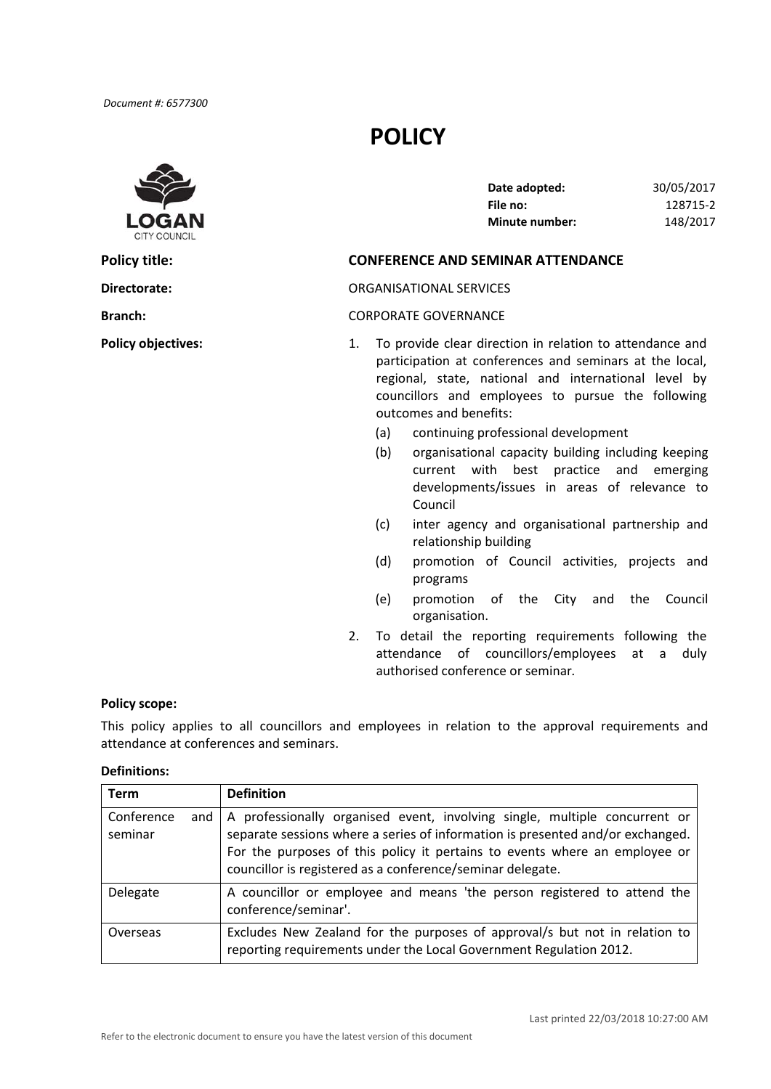

# **POLICY**

| Date adopted:         | 30/05/2017 |
|-----------------------|------------|
| File no:              | 128715-2   |
| <b>Minute number:</b> | 148/2017   |

## **Policy title: CONFERENCE AND SEMINAR ATTENDANCE**

## **Directorate:** ORGANISATIONAL SERVICES

### **Branch:** CORPORATE GOVERNANCE

- **Policy objectives:** 1. To provide clear direction in relation to attendance and participation at conferences and seminars at the local, regional, state, national and international level by councillors and employees to pursue the following outcomes and benefits:
	- (a) continuing professional development
	- (b) organisational capacity building including keeping current with best practice and emerging developments/issues in areas of relevance to Council
	- (c) inter agency and organisational partnership and relationship building
	- (d) promotion of Council activities, projects and programs
	- (e) promotion of the City and the Council organisation.
	- 2. To detail the reporting requirements following the attendance of councillors/employees at a duly authorised conference or seminar*.*

#### **Policy scope:**

 This policy applies to all councillors and employees in relation to the approval requirements and attendance at conferences and seminars.

## **Definitions:**

| <b>Term</b>                  | <b>Definition</b>                                                                                                                                                                                                                                                                                        |
|------------------------------|----------------------------------------------------------------------------------------------------------------------------------------------------------------------------------------------------------------------------------------------------------------------------------------------------------|
| Conference<br>and<br>seminar | A professionally organised event, involving single, multiple concurrent or<br>separate sessions where a series of information is presented and/or exchanged.<br>For the purposes of this policy it pertains to events where an employee or<br>councillor is registered as a conference/seminar delegate. |
| Delegate                     | A councillor or employee and means 'the person registered to attend the<br>conference/seminar'.                                                                                                                                                                                                          |
| Overseas                     | Excludes New Zealand for the purposes of approval/s but not in relation to<br>reporting requirements under the Local Government Regulation 2012.                                                                                                                                                         |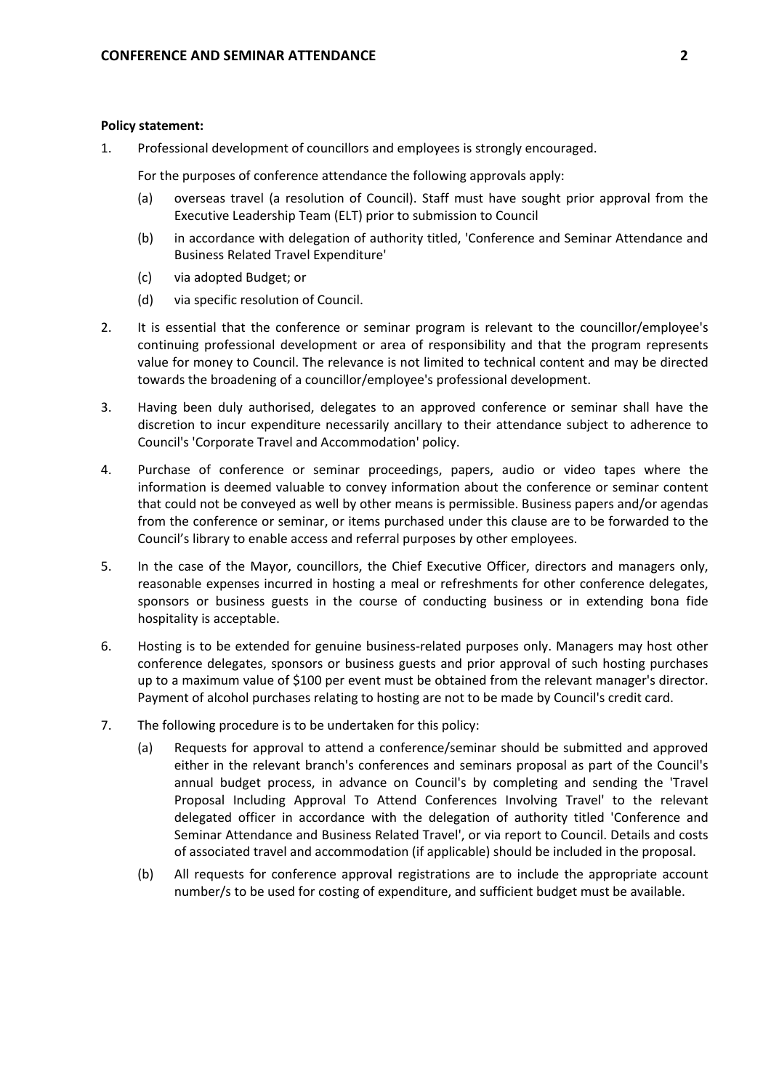## **Policy statement:**

1. Professional development of councillors and employees is strongly encouraged.

For the purposes of conference attendance the following approvals apply:

- (a) overseas travel (a resolution of Council). Staff must have sought prior approval from the Executive Leadership Team (ELT) prior to submission to Council
- (b) in accordance with delegation of authority titled, 'Conference and Seminar Attendance and Business Related Travel Expenditure'
- (c) via adopted Budget; or
- (d) via specific resolution of Council.
- 2. It is essential that the conference or seminar program is relevant to the councillor/employee's continuing professional development or area of responsibility and that the program represents value for money to Council. The relevance is not limited to technical content and may be directed towards the broadening of a councillor/employee's professional development.
- 3. Having been duly authorised, delegates to an approved conference or seminar shall have the discretion to incur expenditure necessarily ancillary to their attendance subject to adherence to Council's 'Corporate Travel and Accommodation' policy.
- 4. Purchase of conference or seminar proceedings, papers, audio or video tapes where the information is deemed valuable to convey information about the conference or seminar content that could not be conveyed as well by other means is permissible. Business papers and/or agendas from the conference or seminar, or items purchased under this clause are to be forwarded to the Council's library to enable access and referral purposes by other employees.
- 5. In the case of the Mayor, councillors, the Chief Executive Officer, directors and managers only, reasonable expenses incurred in hosting a meal or refreshments for other conference delegates, sponsors or business guests in the course of conducting business or in extending bona fide hospitality is acceptable.
- 6. Hosting is to be extended for genuine business‐related purposes only. Managers may host other conference delegates, sponsors or business guests and prior approval of such hosting purchases up to a maximum value of \$100 per event must be obtained from the relevant manager's director. Payment of alcohol purchases relating to hosting are not to be made by Council's credit card.
- 7. The following procedure is to be undertaken for this policy:
	- (a) Requests for approval to attend a conference/seminar should be submitted and approved either in the relevant branch's conferences and seminars proposal as part of the Council's annual budget process, in advance on Council's by completing and sending the 'Travel Proposal Including Approval To Attend Conferences Involving Travel' to the relevant delegated officer in accordance with the delegation of authority titled 'Conference and Seminar Attendance and Business Related Travel', or via report to Council. Details and costs of associated travel and accommodation (if applicable) should be included in the proposal.
	- (b) All requests for conference approval registrations are to include the appropriate account number/s to be used for costing of expenditure, and sufficient budget must be available.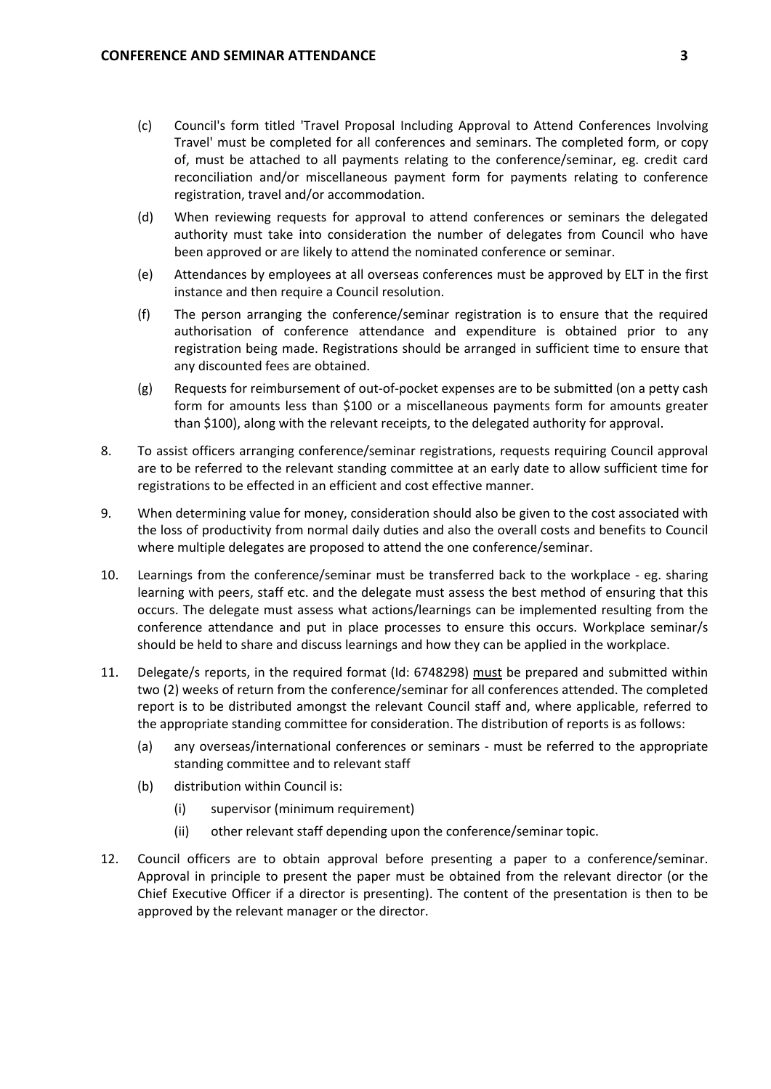- (c) Council's form titled 'Travel Proposal Including Approval to Attend Conferences Involving Travel' must be completed for all conferences and seminars. The completed form, or copy of, must be attached to all payments relating to the conference/seminar, eg. credit card reconciliation and/or miscellaneous payment form for payments relating to conference registration, travel and/or accommodation.
- (d) When reviewing requests for approval to attend conferences or seminars the delegated authority must take into consideration the number of delegates from Council who have been approved or are likely to attend the nominated conference or seminar.
- (e) Attendances by employees at all overseas conferences must be approved by ELT in the first instance and then require a Council resolution.
- (f) The person arranging the conference/seminar registration is to ensure that the required authorisation of conference attendance and expenditure is obtained prior to any registration being made. Registrations should be arranged in sufficient time to ensure that any discounted fees are obtained.
- (g) Requests for reimbursement of out‐of‐pocket expenses are to be submitted (on a petty cash form for amounts less than \$100 or a miscellaneous payments form for amounts greater than \$100), along with the relevant receipts, to the delegated authority for approval.
- 8. To assist officers arranging conference/seminar registrations, requests requiring Council approval are to be referred to the relevant standing committee at an early date to allow sufficient time for registrations to be effected in an efficient and cost effective manner.
- 9. When determining value for money, consideration should also be given to the cost associated with the loss of productivity from normal daily duties and also the overall costs and benefits to Council where multiple delegates are proposed to attend the one conference/seminar.
- 10. Learnings from the conference/seminar must be transferred back to the workplace ‐ eg. sharing learning with peers, staff etc. and the delegate must assess the best method of ensuring that this occurs. The delegate must assess what actions/learnings can be implemented resulting from the conference attendance and put in place processes to ensure this occurs. Workplace seminar/s should be held to share and discuss learnings and how they can be applied in the workplace.
- 11. Delegate/s reports, in the required format (Id: 6748298) must be prepared and submitted within two (2) weeks of return from the conference/seminar for all conferences attended. The completed report is to be distributed amongst the relevant Council staff and, where applicable, referred to the appropriate standing committee for consideration. The distribution of reports is as follows:
	- (a) any overseas/international conferences or seminars ‐ must be referred to the appropriate standing committee and to relevant staff
	- (b) distribution within Council is:
		- (i) supervisor (minimum requirement)
		- (ii) other relevant staff depending upon the conference/seminar topic.
- 12. Council officers are to obtain approval before presenting a paper to a conference/seminar. Approval in principle to present the paper must be obtained from the relevant director (or the Chief Executive Officer if a director is presenting). The content of the presentation is then to be approved by the relevant manager or the director.